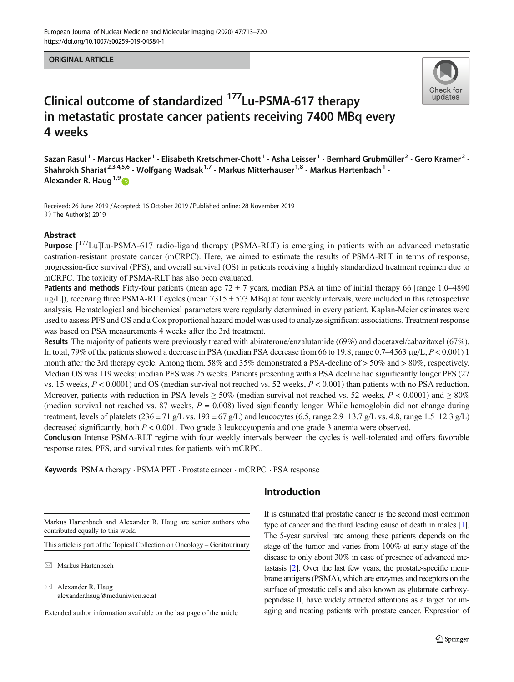#### ORIGINAL ARTICLE



# Clinical outcome of standardized 177Lu-PSMA-617 therapy in metastatic prostate cancer patients receiving 7400 MBq every 4 weeks

Sazan Rasul<sup>1</sup> • Marcus Hacker<sup>1</sup> • Elisabeth Kretschmer-Chott<sup>1</sup> • Asha Leisser<sup>1</sup> • Bernhard Grubmüller<sup>2</sup> • Gero Kramer<sup>2</sup> • Shahrokh Shariat<sup>2,3,4,5,6</sup> · Wolfgang Wadsak<sup>1,7</sup> · Markus Mitterhauser<sup>1,8</sup> · Markus Hartenbach<sup>1</sup> · Alexander R. Haug<sup>1,9</sup>

Received: 26 June 2019 /Accepted: 16 October 2019 /Published online: 28 November 2019 C The Author(s) 2019

#### Abstract

Purpose [<sup>177</sup>Lu]Lu-PSMA-617 radio-ligand therapy (PSMA-RLT) is emerging in patients with an advanced metastatic castration-resistant prostate cancer (mCRPC). Here, we aimed to estimate the results of PSMA-RLT in terms of response, progression-free survival (PFS), and overall survival (OS) in patients receiving a highly standardized treatment regimen due to mCRPC. The toxicity of PSMA-RLT has also been evaluated.

**Patients and methods** Fifty-four patients (mean age  $72 \pm 7$  years, median PSA at time of initial therapy 66 [range 1.0–4890]  $\mu$ g/L]), receiving three PSMA-RLT cycles (mean 7315  $\pm$  573 MBq) at four weekly intervals, were included in this retrospective analysis. Hematological and biochemical parameters were regularly determined in every patient. Kaplan-Meier estimates were used to assess PFS and OS and a Cox proportional hazard model was used to analyze significant associations. Treatment response was based on PSA measurements 4 weeks after the 3rd treatment.

Results The majority of patients were previously treated with abiraterone/enzalutamide (69%) and docetaxel/cabazitaxel (67%). In total, 79% of the patients showed a decrease in PSA (median PSA decrease from 66 to 19.8, range 0.7–4563 μg/L,  $P < 0.001$ ) 1 month after the 3rd therapy cycle. Among them, 58% and 35% demonstrated a PSA-decline of > 50% and > 80%, respectively. Median OS was 119 weeks; median PFS was 25 weeks. Patients presenting with a PSA decline had significantly longer PFS (27 vs. 15 weeks,  $P < 0.0001$ ) and OS (median survival not reached vs. 52 weeks,  $P < 0.001$ ) than patients with no PSA reduction. Moreover, patients with reduction in PSA levels  $\geq 50\%$  (median survival not reached vs. 52 weeks,  $P < 0.0001$ ) and  $\geq 80\%$ (median survival not reached vs. 87 weeks,  $P = 0.008$ ) lived significantly longer. While hemoglobin did not change during treatment, levels of platelets (236  $\pm$  71 g/L vs. 193  $\pm$  67 g/L) and leucocytes (6.5, range 2.9–13.7 g/L vs. 4.8, range 1.5–12.3 g/L) decreased significantly, both  $P < 0.001$ . Two grade 3 leukocytopenia and one grade 3 anemia were observed.

Conclusion Intense PSMA-RLT regime with four weekly intervals between the cycles is well-tolerated and offers favorable response rates, PFS, and survival rates for patients with mCRPC.

Keywords PSMA therapy · PSMA PET · Prostate cancer · mCRPC · PSA response

## Introduction

Markus Hartenbach and Alexander R. Haug are senior authors who contributed equally to this work.

This article is part of the Topical Collection on Oncology – Genitourinary

 $\boxtimes$  Markus Hartenbach

 $\boxtimes$  Alexander R. Haug [alexander.haug@meduniwien.ac.at](mailto:alexander.haug@meduniwien.ac.at)

Extended author information available on the last page of the article

It is estimated that prostatic cancer is the second most common type of cancer and the third leading cause of death in males [\[1\]](#page-6-0). The 5-year survival rate among these patients depends on the stage of the tumor and varies from 100% at early stage of the disease to only about 30% in case of presence of advanced metastasis [\[2\]](#page-6-0). Over the last few years, the prostate-specific membrane antigens (PSMA), which are enzymes and receptors on the surface of prostatic cells and also known as glutamate carboxypeptidase II, have widely attracted attentions as a target for imaging and treating patients with prostate cancer. Expression of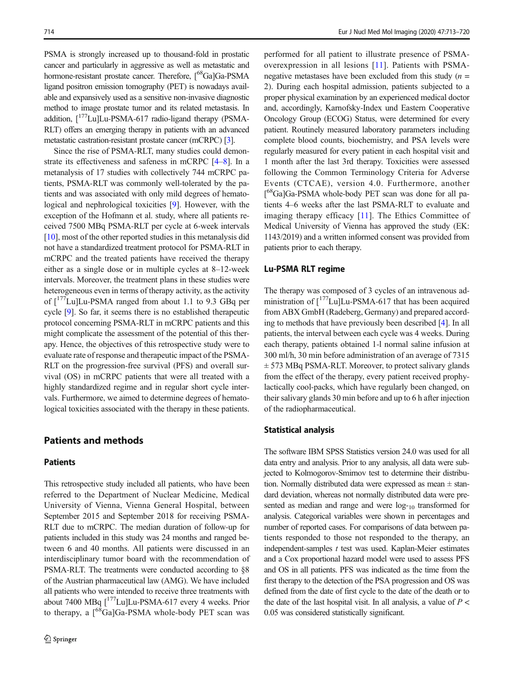PSMA is strongly increased up to thousand-fold in prostatic cancer and particularly in aggressive as well as metastatic and hormone-resistant prostate cancer. Therefore,  $\int_{0}^{68}Ga$ ]Ga-PSMA ligand positron emission tomography (PET) is nowadays available and expansively used as a sensitive non-invasive diagnostic method to image prostate tumor and its related metastasis. In addition,  $\int_1^{177}$ Lu]Lu-PSMA-617 radio-ligand therapy (PSMA-RLT) offers an emerging therapy in patients with an advanced metastatic castration-resistant prostate cancer (mCRPC) [[3](#page-6-0)].

Since the rise of PSMA-RLT, many studies could demonstrate its effectiveness and safeness in mCRPC [[4](#page-6-0)–[8\]](#page-6-0). In a metanalysis of 17 studies with collectively 744 mCRPC patients, PSMA-RLT was commonly well-tolerated by the patients and was associated with only mild degrees of hematological and nephrological toxicities [[9\]](#page-6-0). However, with the exception of the Hofmann et al. study, where all patients received 7500 MBq PSMA-RLT per cycle at 6-week intervals [\[10\]](#page-7-0), most of the other reported studies in this metanalysis did not have a standardized treatment protocol for PSMA-RLT in mCRPC and the treated patients have received the therapy either as a single dose or in multiple cycles at 8–12-week intervals. Moreover, the treatment plans in these studies were heterogeneous even in terms of therapy activity, as the activity of  $\int_1^{177}$ Lu]Lu-PSMA ranged from about 1.1 to 9.3 GBq per cycle [[9](#page-6-0)]. So far, it seems there is no established therapeutic protocol concerning PSMA-RLT in mCRPC patients and this might complicate the assessment of the potential of this therapy. Hence, the objectives of this retrospective study were to evaluate rate of response and therapeutic impact of the PSMA-RLT on the progression-free survival (PFS) and overall survival (OS) in mCRPC patients that were all treated with a highly standardized regime and in regular short cycle intervals. Furthermore, we aimed to determine degrees of hematological toxicities associated with the therapy in these patients.

#### Patients and methods

#### Patients

This retrospective study included all patients, who have been referred to the Department of Nuclear Medicine, Medical University of Vienna, Vienna General Hospital, between September 2015 and September 2018 for receiving PSMA-RLT due to mCRPC. The median duration of follow-up for patients included in this study was 24 months and ranged between 6 and 40 months. All patients were discussed in an interdisciplinary tumor board with the recommendation of PSMA-RLT. The treatments were conducted according to §8 of the Austrian pharmaceutical law (AMG). We have included all patients who were intended to receive three treatments with about 7400 MBq  $[^{177}$ Lu]Lu-PSMA-617 every 4 weeks. Prior to therapy, a  $\int^{68}$ Ga]Ga-PSMA whole-body PET scan was

performed for all patient to illustrate presence of PSMAoverexpression in all lesions [[11\]](#page-7-0). Patients with PSMAnegative metastases have been excluded from this study  $(n =$ 2). During each hospital admission, patients subjected to a proper physical examination by an experienced medical doctor and, accordingly, Karnofsky-Index und Eastern Cooperative Oncology Group (ECOG) Status, were determined for every patient. Routinely measured laboratory parameters including complete blood counts, biochemistry, and PSA levels were regularly measured for every patient in each hospital visit and 1 month after the last 3rd therapy. Toxicities were assessed following the Common Terminology Criteria for Adverse Events (CTCAE), version 4.0. Furthermore, another [<sup>68</sup>Ga]Ga-PSMA whole-body PET scan was done for all patients 4–6 weeks after the last PSMA-RLT to evaluate and imaging therapy efficacy [[11\]](#page-7-0). The Ethics Committee of Medical University of Vienna has approved the study (EK: 1143/2019) and a written informed consent was provided from patients prior to each therapy.

#### Lu-PSMA RLT regime

The therapy was composed of 3 cycles of an intravenous administration of  $\int_1^{177}$ Lu]Lu-PSMA-617 that has been acquired from ABX GmbH (Radeberg, Germany) and prepared according to methods that have previously been described [\[4](#page-6-0)]. In all patients, the interval between each cycle was 4 weeks. During each therapy, patients obtained 1-l normal saline infusion at 300 ml/h, 30 min before administration of an average of 7315  $\pm$  573 MBq PSMA-RLT. Moreover, to protect salivary glands from the effect of the therapy, every patient received prophylactically cool-packs, which have regularly been changed, on their salivary glands 30 min before and up to 6 h after injection of the radiopharmaceutical.

#### Statistical analysis

The software IBM SPSS Statistics version 24.0 was used for all data entry and analysis. Prior to any analysis, all data were subjected to Kolmogorov-Smirnov test to determine their distribution. Normally distributed data were expressed as mean  $\pm$  standard deviation, whereas not normally distributed data were presented as median and range and were  $log_{10}$  transformed for analysis. Categorical variables were shown in percentages and number of reported cases. For comparisons of data between patients responded to those not responded to the therapy, an independent-samples  $t$  test was used. Kaplan-Meier estimates and a Cox proportional hazard model were used to assess PFS and OS in all patients. PFS was indicated as the time from the first therapy to the detection of the PSA progression and OS was defined from the date of first cycle to the date of the death or to the date of the last hospital visit. In all analysis, a value of  $P \leq$ 0.05 was considered statistically significant.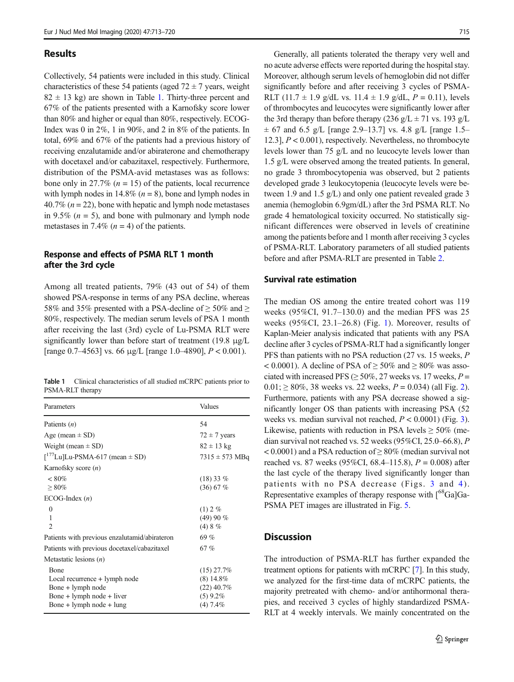#### Results

Collectively, 54 patients were included in this study. Clinical characteristics of these 54 patients (aged  $72 \pm 7$  years, weight  $82 \pm 13$  kg) are shown in Table 1. Thirty-three percent and 67% of the patients presented with a Karnofsky score lower than 80% and higher or equal than 80%, respectively. ECOG-Index was 0 in 2%, 1 in 90%, and 2 in 8% of the patients. In total, 69% and 67% of the patients had a previous history of receiving enzalutamide and/or abiraterone and chemotherapy with docetaxel and/or cabazitaxel, respectively. Furthermore, distribution of the PSMA-avid metastases was as follows: bone only in 27.7% ( $n = 15$ ) of the patients, local recurrence with lymph nodes in 14.8%  $(n = 8)$ , bone and lymph nodes in 40.7% ( $n = 22$ ), bone with hepatic and lymph node metastases in 9.5% ( $n = 5$ ), and bone with pulmonary and lymph node metastases in 7.4% ( $n = 4$ ) of the patients.

### Response and effects of PSMA RLT 1 month after the 3rd cycle

Among all treated patients, 79% (43 out of 54) of them showed PSA-response in terms of any PSA decline, whereas 58% and 35% presented with a PSA-decline of  $\geq$  50% and  $\geq$ 80%, respectively. The median serum levels of PSA 1 month after receiving the last (3rd) cycle of Lu-PSMA RLT were significantly lower than before start of treatment (19.8 μg/L [range 0.7–4563] vs. 66  $\mu$ g/L [range 1.0–4890],  $P < 0.001$ ).

|                  | <b>Table 1</b> Clinical characteristics of all studied mCRPC patients prior to |  |  |  |
|------------------|--------------------------------------------------------------------------------|--|--|--|
| PSMA-RLT therapy |                                                                                |  |  |  |

| Parameters                                                                                                              | Values                                                             |
|-------------------------------------------------------------------------------------------------------------------------|--------------------------------------------------------------------|
| Patients $(n)$                                                                                                          | 54                                                                 |
| Age (mean $\pm$ SD)                                                                                                     | $72 \pm 7$ years                                                   |
| Weight (mean $\pm$ SD)                                                                                                  | $82 \pm 13$ kg                                                     |
| $\int_1^{177}$ Lu]Lu-PSMA-617 (mean $\pm$ SD)                                                                           | $7315 \pm 573 \text{ MBq}$                                         |
| Karnofsky score $(n)$                                                                                                   |                                                                    |
| $< 80\%$<br>$\geq 80\%$                                                                                                 | $(18)$ 33 %<br>$(36)$ 67 %                                         |
| $ECOG-Index(n)$                                                                                                         |                                                                    |
| $\theta$<br>1<br>$\mathfrak{D}$                                                                                         | $(1)$ 2 %<br>(49)90%<br>(4)8%                                      |
| Patients with previous enzalutamid/abirateron                                                                           | 69%                                                                |
| Patients with previous docetaxel/cabazitaxel                                                                            | 67%                                                                |
| Metastatic lesions $(n)$                                                                                                |                                                                    |
| Bone<br>Local recurrence + lymph node<br>Bone + lymph node<br>Bone $+$ lymph node $+$ liver<br>Bone + lymph node + lung | $(15)$ 27.7%<br>$(8)$ 14.8%<br>$(22)$ 40.7%<br>(5)9.2%<br>(4) 7.4% |

Generally, all patients tolerated the therapy very well and no acute adverse effects were reported during the hospital stay. Moreover, although serum levels of hemoglobin did not differ significantly before and after receiving 3 cycles of PSMA-RLT (11.7  $\pm$  1.9 g/dL vs. 11.4  $\pm$  1.9 g/dL,  $P = 0.11$ ), levels of thrombocytes and leucocytes were significantly lower after the 3rd therapy than before therapy (236 g/L  $\pm$  71 vs. 193 g/L  $\pm$  67 and 6.5 g/L [range 2.9–13.7] vs. 4.8 g/L [range 1.5– 12.3],  $P < 0.001$ ), respectively. Nevertheless, no thrombocyte levels lower than 75 g/L and no leucocyte levels lower than 1.5 g/L were observed among the treated patients. In general, no grade 3 thrombocytopenia was observed, but 2 patients developed grade 3 leukocytopenia (leucocyte levels were between 1.9 and 1.5 g/L) and only one patient revealed grade 3 anemia (hemoglobin 6.9gm/dL) after the 3rd PSMA RLT. No grade 4 hematological toxicity occurred. No statistically significant differences were observed in levels of creatinine among the patients before and 1 month after receiving 3 cycles of PSMA-RLT. Laboratory parameters of all studied patients before and after PSMA-RLT are presented in Table [2.](#page-3-0)

#### Survival rate estimation

The median OS among the entire treated cohort was 119 weeks (95%CI, 91.7–130.0) and the median PFS was 25 weeks (95%CI, 23.1–26.8) (Fig. [1\)](#page-3-0). Moreover, results of Kaplan-Meier analysis indicated that patients with any PSA decline after 3 cycles of PSMA-RLT had a significantly longer PFS than patients with no PSA reduction (27 vs. 15 weeks, P  $< 0.0001$ ). A decline of PSA of  $\geq 50\%$  and  $\geq 80\%$  was associated with increased PFS ( $\geq$  50%, 27 weeks vs. 17 weeks,  $P =$  $0.01$ ;  $\geq 80\%$ , 38 weeks vs. 22 weeks,  $P = 0.034$ ) (all Fig. [2\)](#page-4-0). Furthermore, patients with any PSA decrease showed a significantly longer OS than patients with increasing PSA (52 weeks vs. median survival not reached,  $P < 0.0001$ ) (Fig. [3\)](#page-5-0). Likewise, patients with reduction in PSA levels  $\geq$  50% (median survival not reached vs. 52 weeks (95%CI, 25.0–66.8), P  $< 0.0001$ ) and a PSA reduction of  $\geq 80\%$  (median survival not reached vs. 87 weeks (95%CI, 68.4–115.8),  $P = 0.008$ ) after the last cycle of the therapy lived significantly longer than patients with no PSA decrease (Figs. [3](#page-5-0) and [4\)](#page-5-0). Representative examples of therapy response with  $\int_{0}^{68}Ga$ ]Ga-PSMA PET images are illustrated in Fig. [5](#page-6-0).

## **Discussion**

The introduction of PSMA-RLT has further expanded the treatment options for patients with mCRPC [\[7\]](#page-6-0). In this study, we analyzed for the first-time data of mCRPC patients, the majority pretreated with chemo- and/or antihormonal therapies, and received 3 cycles of highly standardized PSMA-RLT at 4 weekly intervals. We mainly concentrated on the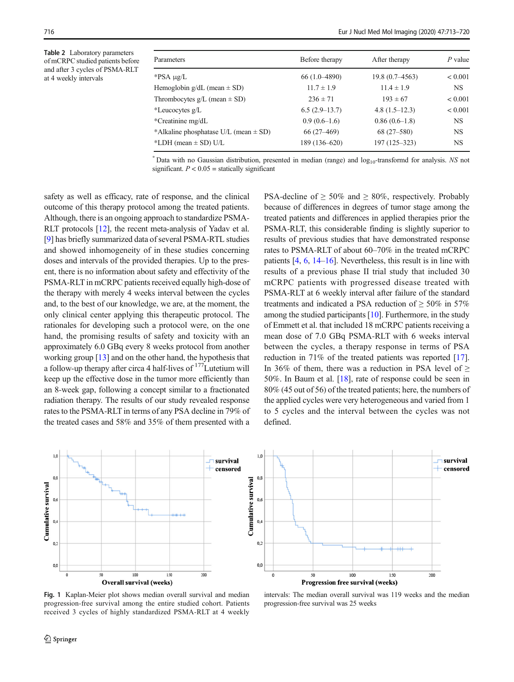Table 2 Laboratory parameters of mCRPC studied patients before and after 3 cycles of PSMA-RLT at 4 weekly intervals

| Parameters                                  | Before therapy   | After therapy      | $P$ value |
|---------------------------------------------|------------------|--------------------|-----------|
| *PSA µg/L                                   | $66(1.0 - 4890)$ | $19.8(0.7 - 4563)$ | < 0.001   |
| Hemoglobin $g/dL$ (mean $\pm$ SD)           | $11.7 \pm 1.9$   | $11.4 \pm 1.9$     | <b>NS</b> |
| Thrombocytes $g/L$ (mean $\pm$ SD)          | $236 \pm 71$     | $193 \pm 67$       | < 0.001   |
| *Leucocytes g/L                             | $6.5(2.9-13.7)$  | $4.8(1.5-12.3)$    | < 0.001   |
| *Creatinine mg/dL                           | $0.9(0.6-1.6)$   | $0.86(0.6-1.8)$    | <b>NS</b> |
| *Alkaline phosphatase $U/L$ (mean $\pm$ SD) | $66(27-469)$     | $68(27 - 580)$     | <b>NS</b> |
| *LDH (mean $\pm$ SD) U/L                    | 189 (136-620)    | 197 (125-323)      | <b>NS</b> |
|                                             |                  |                    |           |

 $*$  Data with no Gaussian distribution, presented in median (range) and  $log_{10}$ -transformd for analysis. NS not significant.  $P < 0.05$  = statically significant

safety as well as efficacy, rate of response, and the clinical outcome of this therapy protocol among the treated patients. Although, there is an ongoing approach to standardize PSMA-RLT protocols [\[12\]](#page-7-0), the recent meta-analysis of Yadav et al. [\[9](#page-6-0)] has briefly summarized data of several PSMA-RTL studies and showed inhomogeneity of in these studies concerning doses and intervals of the provided therapies. Up to the present, there is no information about safety and effectivity of the PSMA-RLT in mCRPC patients received equally high-dose of the therapy with merely 4 weeks interval between the cycles and, to the best of our knowledge, we are, at the moment, the only clinical center applying this therapeutic protocol. The rationales for developing such a protocol were, on the one hand, the promising results of safety and toxicity with an approximately 6.0 GBq every 8 weeks protocol from another working group [[13\]](#page-7-0) and on the other hand, the hypothesis that a follow-up therapy after circa 4 half-lives of <sup>177</sup>Lutetium will keep up the effective dose in the tumor more efficiently than an 8-week gap, following a concept similar to a fractionated radiation therapy. The results of our study revealed response rates to the PSMA-RLT in terms of any PSA decline in 79% of the treated cases and 58% and 35% of them presented with a PSA-decline of  $\geq 50\%$  and  $\geq 80\%$ , respectively. Probably because of differences in degrees of tumor stage among the treated patients and differences in applied therapies prior the PSMA-RLT, this considerable finding is slightly superior to results of previous studies that have demonstrated response rates to PSMA-RLT of about 60–70% in the treated mCRPC patients [\[4,](#page-6-0) [6,](#page-6-0) [14](#page-7-0)–[16\]](#page-7-0). Nevertheless, this result is in line with results of a previous phase II trial study that included 30 mCRPC patients with progressed disease treated with PSMA-RLT at 6 weekly interval after failure of the standard treatments and indicated a PSA reduction of  $\geq 50\%$  in 57% among the studied participants [\[10\]](#page-7-0). Furthermore, in the study of Emmett et al. that included 18 mCRPC patients receiving a mean dose of 7.0 GBq PSMA-RLT with 6 weeks interval between the cycles, a therapy response in terms of PSA reduction in 71% of the treated patients was reported [[17\]](#page-7-0). In 36% of them, there was a reduction in PSA level of  $\geq$ 50%. In Baum et al. [[18\]](#page-7-0), rate of response could be seen in 80% (45 out of 56) of the treated patients; here, the numbers of the applied cycles were very heterogeneous and varied from 1 to 5 cycles and the interval between the cycles was not defined.





intervals: The median overall survival was 119 weeks and the median

progression-free survival was 25 weeks

Fig. 1 Kaplan-Meier plot shows median overall survival and median progression-free survival among the entire studied cohort. Patients received 3 cycles of highly standardized PSMA-RLT at 4 weekly

<span id="page-3-0"></span>716 Eur J Nucl Med Mol Imaging (2020) 47:713–720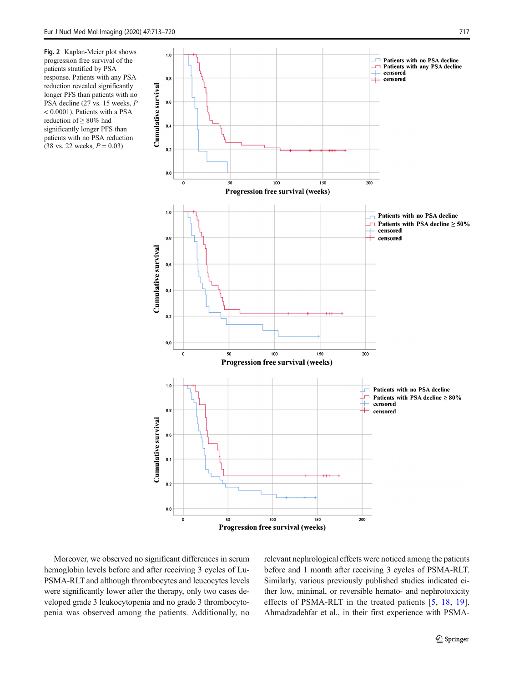<span id="page-4-0"></span>Fig. 2 Kaplan-Meier plot shows progression free survival of the patients stratified by PSA response. Patients with any PSA reduction revealed significantly longer PFS than patients with no PSA decline (27 vs. 15 weeks, P < 0.0001). Patients with a PSA reduction of ≥ 80% had significantly longer PFS than patients with no PSA reduction  $(38 \text{ vs. } 22 \text{ weeks}, P = 0.03)$ 



Moreover, we observed no significant differences in serum hemoglobin levels before and after receiving 3 cycles of Lu-PSMA-RLT and although thrombocytes and leucocytes levels were significantly lower after the therapy, only two cases developed grade 3 leukocytopenia and no grade 3 thrombocytopenia was observed among the patients. Additionally, no relevant nephrological effects were noticed among the patients before and 1 month after receiving 3 cycles of PSMA-RLT. Similarly, various previously published studies indicated either low, minimal, or reversible hemato- and nephrotoxicity effects of PSMA-RLT in the treated patients [[5](#page-6-0), [18,](#page-7-0) [19](#page-7-0)]. Ahmadzadehfar et al., in their first experience with PSMA-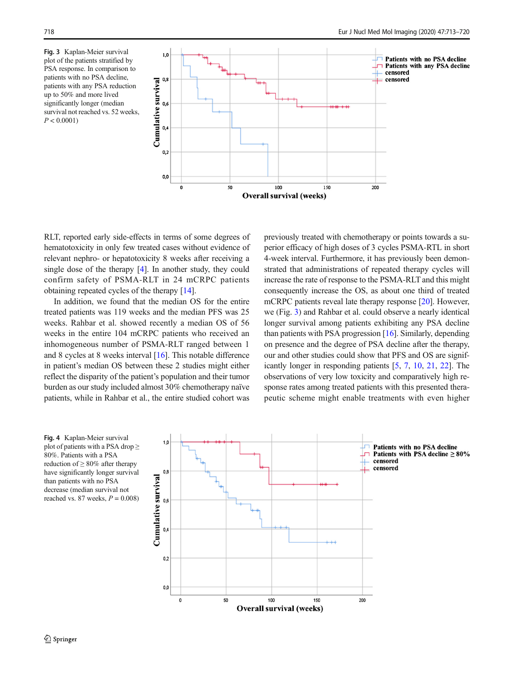<span id="page-5-0"></span>Fig. 3 Kaplan-Meier survival plot of the patients stratified by PSA response. In comparison to patients with no PSA decline, patients with any PSA reduction up to 50% and more lived significantly longer (median survival not reached vs. 52 weeks,  $P < 0.0001$ )



RLT, reported early side-effects in terms of some degrees of hematotoxicity in only few treated cases without evidence of relevant nephro- or hepatotoxicity 8 weeks after receiving a single dose of the therapy [\[4](#page-6-0)]. In another study, they could confirm safety of PSMA-RLT in 24 mCRPC patients obtaining repeated cycles of the therapy [\[14\]](#page-7-0).

In addition, we found that the median OS for the entire treated patients was 119 weeks and the median PFS was 25 weeks. Rahbar et al. showed recently a median OS of 56 weeks in the entire 104 mCRPC patients who received an inhomogeneous number of PSMA-RLT ranged between 1 and 8 cycles at 8 weeks interval [\[16](#page-7-0)]. This notable difference in patient's median OS between these 2 studies might either reflect the disparity of the patient's population and their tumor burden as our study included almost 30% chemotherapy naïve patients, while in Rahbar et al., the entire studied cohort was previously treated with chemotherapy or points towards a superior efficacy of high doses of 3 cycles PSMA-RTL in short 4-week interval. Furthermore, it has previously been demonstrated that administrations of repeated therapy cycles will increase the rate of response to the PSMA-RLT and this might consequently increase the OS, as about one third of treated mCRPC patients reveal late therapy response [\[20](#page-7-0)]. However, we (Fig. 3) and Rahbar et al. could observe a nearly identical longer survival among patients exhibiting any PSA decline than patients with PSA progression [[16](#page-7-0)]. Similarly, depending on presence and the degree of PSA decline after the therapy, our and other studies could show that PFS and OS are significantly longer in responding patients [[5,](#page-6-0) [7](#page-6-0), [10,](#page-7-0) [21,](#page-7-0) [22](#page-7-0)]. The observations of very low toxicity and comparatively high response rates among treated patients with this presented therapeutic scheme might enable treatments with even higher

Fig. 4 Kaplan-Meier survival plot of patients with a PSA drop  $\geq$ 80%. Patients with a PSA reduction of  $\geq 80\%$  after therapy have significantly longer survival than patients with no PSA decrease (median survival not reached vs. 87 weeks,  $P = 0.008$ 

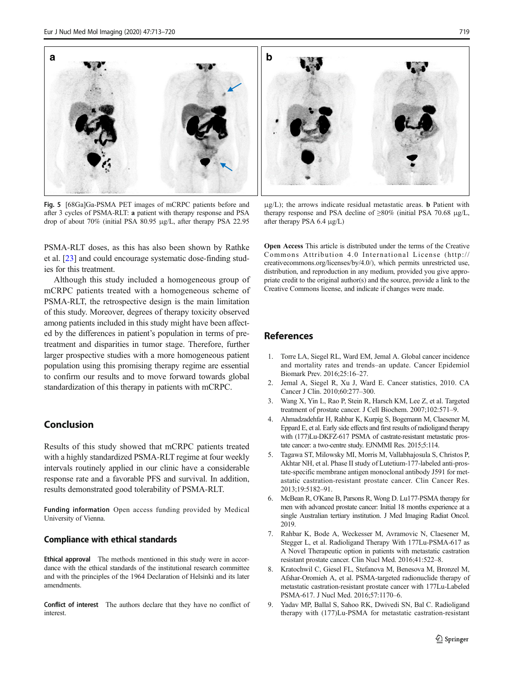<span id="page-6-0"></span>

Fig. 5 [68Ga]Ga-PSMA PET images of mCRPC patients before and after 3 cycles of PSMA-RLT: a patient with therapy response and PSA drop of about 70% (initial PSA 80.95 μg/L, after therapy PSA 22.95

 $\mu$ g/L); the arrows indicate residual metastatic areas. **b** Patient with therapy response and PSA decline of  $\geq 80\%$  (initial PSA 70.68 μg/L, after therapy PSA 6.4 μg/L)

PSMA-RLT doses, as this has also been shown by Rathke et al. [[23\]](#page-7-0) and could encourage systematic dose-finding studies for this treatment.

Although this study included a homogeneous group of mCRPC patients treated with a homogeneous scheme of PSMA-RLT, the retrospective design is the main limitation of this study. Moreover, degrees of therapy toxicity observed among patients included in this study might have been affected by the differences in patient's population in terms of pretreatment and disparities in tumor stage. Therefore, further larger prospective studies with a more homogeneous patient population using this promising therapy regime are essential to confirm our results and to move forward towards global standardization of this therapy in patients with mCRPC.

## Conclusion

Results of this study showed that mCRPC patients treated with a highly standardized PSMA-RLT regime at four weekly intervals routinely applied in our clinic have a considerable response rate and a favorable PFS and survival. In addition, results demonstrated good tolerability of PSMA-RLT.

Funding information Open access funding provided by Medical University of Vienna.

#### Compliance with ethical standards

Ethical approval The methods mentioned in this study were in accordance with the ethical standards of the institutional research committee and with the principles of the 1964 Declaration of Helsinki and its later amendments.

Conflict of interest The authors declare that they have no conflict of interest.

Open Access This article is distributed under the terms of the Creative Commons Attribution 4.0 International License (http:// creativecommons.org/licenses/by/4.0/), which permits unrestricted use, distribution, and reproduction in any medium, provided you give appropriate credit to the original author(s) and the source, provide a link to the Creative Commons license, and indicate if changes were made.

#### References

- 1. Torre LA, Siegel RL, Ward EM, Jemal A. Global cancer incidence and mortality rates and trends–an update. Cancer Epidemiol Biomark Prev. 2016;25:16–27.
- 2. Jemal A, Siegel R, Xu J, Ward E. Cancer statistics, 2010. CA Cancer J Clin. 2010;60:277–300.
- 3. Wang X, Yin L, Rao P, Stein R, Harsch KM, Lee Z, et al. Targeted treatment of prostate cancer. J Cell Biochem. 2007;102:571–9.
- 4. Ahmadzadehfar H, Rahbar K, Kurpig S, Bogemann M, Claesener M, Eppard E, et al. Early side effects and first results of radioligand therapy with (177)Lu-DKFZ-617 PSMA of castrate-resistant metastatic prostate cancer: a two-centre study. EJNMMI Res. 2015;5:114.
- 5. Tagawa ST, Milowsky MI, Morris M, Vallabhajosula S, Christos P, Akhtar NH, et al. Phase II study of Lutetium-177-labeled anti-prostate-specific membrane antigen monoclonal antibody J591 for metastatic castration-resistant prostate cancer. Clin Cancer Res. 2013;19:5182–91.
- 6. McBean R, O'Kane B, Parsons R, Wong D. Lu177-PSMA therapy for men with advanced prostate cancer: Initial 18 months experience at a single Australian tertiary institution. J Med Imaging Radiat Oncol. 2019.
- 7. Rahbar K, Bode A, Weckesser M, Avramovic N, Claesener M, Stegger L, et al. Radioligand Therapy With 177Lu-PSMA-617 as A Novel Therapeutic option in patients with metastatic castration resistant prostate cancer. Clin Nucl Med. 2016;41:522–8.
- 8. Kratochwil C, Giesel FL, Stefanova M, Benesova M, Bronzel M, Afshar-Oromieh A, et al. PSMA-targeted radionuclide therapy of metastatic castration-resistant prostate cancer with 177Lu-Labeled PSMA-617. J Nucl Med. 2016;57:1170–6.
- 9. Yadav MP, Ballal S, Sahoo RK, Dwivedi SN, Bal C. Radioligand therapy with (177)Lu-PSMA for metastatic castration-resistant